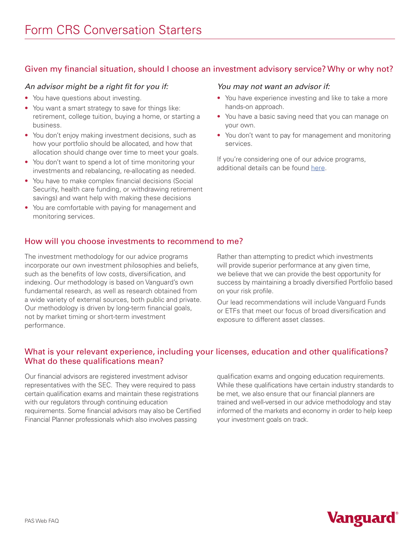## Given my financial situation, should I choose an investment advisory service? Why or why not?

#### *An advisor might be a right fit for you if:*

- You have questions about investing.
- You want a smart strategy to save for things like: retirement, college tuition, buying a home, or starting a business.
- You don't enjoy making investment decisions, such as how your portfolio should be allocated, and how that allocation should change over time to meet your goals.
- You don't want to spend a lot of time monitoring your investments and rebalancing, re-allocating as needed.
- You have to make complex financial decisions (Social Security, health care funding, or withdrawing retirement savings) and want help with making these decisions
- You are comfortable with paying for management and monitoring services.

#### *You may not want an advisor if:*

- You have experience investing and like to take a more hands-on approach.
- You have a basic saving need that you can manage on your own.
- You don't want to pay for management and monitoring services.

If you're considering one of our advice programs, additional details can be found [here.](https://investor.vanguard.com/financial-advisor/compare-financial-advice)

### How will you choose investments to recommend to me?

The investment methodology for our advice programs incorporate our own investment philosophies and beliefs, such as the benefits of low costs, diversification, and indexing. Our methodology is based on Vanguard's own fundamental research, as well as research obtained from a wide variety of external sources, both public and private. Our methodology is driven by long-term financial goals, not by market timing or short-term investment performance.

Rather than attempting to predict which investments will provide superior performance at any given time, we believe that we can provide the best opportunity for success by maintaining a broadly diversified Portfolio based on your risk profile.

Our lead recommendations will include Vanguard Funds or ETFs that meet our focus of broad diversification and exposure to different asset classes.

## What is your relevant experience, including your licenses, education and other qualifications? What do these qualifications mean?

Our financial advisors are registered investment advisor representatives with the SEC. They were required to pass certain qualification exams and maintain these registrations with our regulators through continuing education requirements. Some financial advisors may also be Certified Financial Planner professionals which also involves passing

qualification exams and ongoing education requirements. While these qualifications have certain industry standards to be met, we also ensure that our financial planners are trained and well-versed in our advice methodology and stay informed of the markets and economy in order to help keep your investment goals on track.